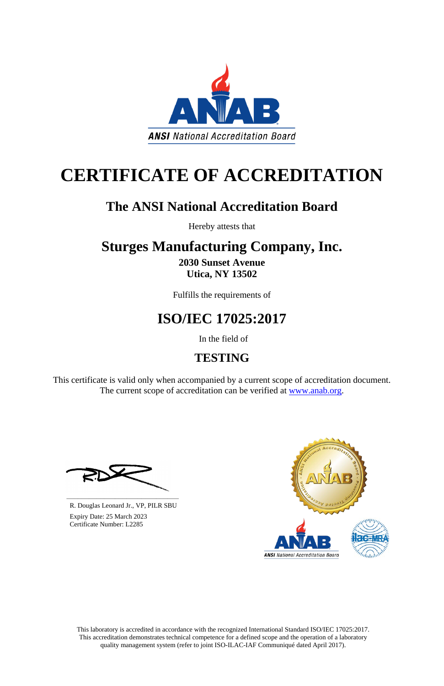This laboratory is accredited in accordance with the recognized International Standard ISO/IEC 17025:2017. This accreditation demonstrates technical competence for a defined scope and the operation of a laboratory quality management system (refer to joint ISO-ILAC-IAF Communiqué dated April 2017).

This certificate is valid only when accompanied by a current scope of accreditation document. The current scope of accreditation can be verified at [www.anab.org.](http://www.anab.org/)



# **CERTIFICATE OF ACCREDITATION**

### **The ANSI National Accreditation Board**

Hereby attests that

## **Sturges Manufacturing Company, Inc.**

**2030 Sunset Avenue Utica, NY 13502**

Fulfills the requirements of

### **ISO/IEC 17025:2017**

In the field of

### **TESTING**





R. Douglas Leonard Jr., VP, PILR SBU

 Expiry Date: 25 March 2023 Certificate Number: L2285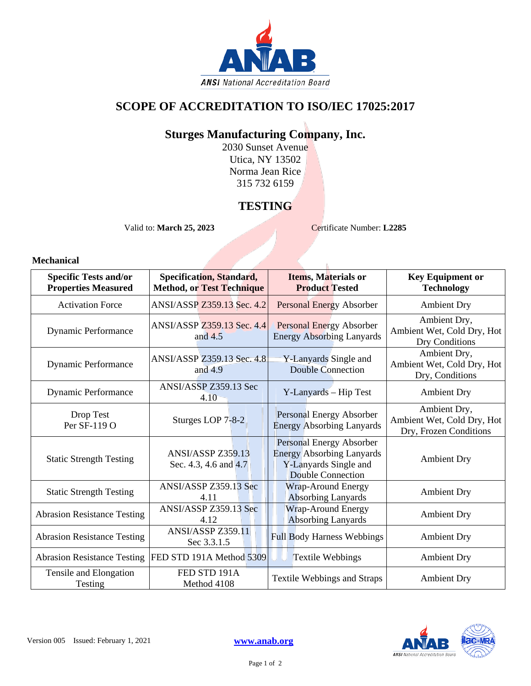

#### **SCOPE OF ACCREDITATION TO ISO/IEC 17025:2017**

#### **Sturges Manufacturing Company, Inc.**

2030 Sunset Avenue Utica, NY 13502 Norma Jean Rice 315 732 6159

#### **TESTING**

Valid to: **March 25, 2023** Certificate Number: **L2285** 

 $\mathbf{g}$ 

#### **Mechanical**

| <b>Specific Tests and/or</b><br><b>Properties Measured</b> | Specification, Standard,<br><b>Method, or Test Technique</b> | <b>Items, Materials or</b><br><b>Product Tested</b>                                                               | <b>Key Equipment or</b><br><b>Technology</b>                         |
|------------------------------------------------------------|--------------------------------------------------------------|-------------------------------------------------------------------------------------------------------------------|----------------------------------------------------------------------|
| <b>Activation Force</b>                                    | ANSI/ASSP Z359.13 Sec. 4.2                                   | <b>Personal Energy Absorber</b>                                                                                   | <b>Ambient Dry</b>                                                   |
| <b>Dynamic Performance</b>                                 | ANSI/ASSP Z359.13 Sec. 4.4<br>and $4.5$                      | <b>Personal Energy Absorber</b><br><b>Energy Absorbing Lanyards</b>                                               | Ambient Dry,<br>Ambient Wet, Cold Dry, Hot<br>Dry Conditions         |
| Dynamic Performance                                        | ANSI/ASSP Z359.13 Sec. 4.8<br>and $4.9$                      | Y-Lanyards Single and<br><b>Double Connection</b>                                                                 | Ambient Dry,<br>Ambient Wet, Cold Dry, Hot<br>Dry, Conditions        |
| Dynamic Performance                                        | ANSI/ASSP Z359.13 Sec<br>4.10                                | Y-Lanyards - Hip Test                                                                                             | <b>Ambient Dry</b>                                                   |
| Drop Test<br>Per SF-119 O                                  | Sturges LOP 7-8-2                                            | Personal Energy Absorber<br><b>Energy Absorbing Lanyards</b>                                                      | Ambient Dry,<br>Ambient Wet, Cold Dry, Hot<br>Dry, Frozen Conditions |
| <b>Static Strength Testing</b>                             | ANSI/ASSP Z359.13<br>Sec. 4.3, 4.6 and 4.7                   | Personal Energy Absorber<br><b>Energy Absorbing Lanyards</b><br>Y-Lanyards Single and<br><b>Double Connection</b> | <b>Ambient Dry</b>                                                   |
| <b>Static Strength Testing</b>                             | ANSI/ASSP Z359.13 Sec<br>4.11                                | <b>Wrap-Around Energy</b><br><b>Absorbing Lanyards</b>                                                            | <b>Ambient Dry</b>                                                   |
| <b>Abrasion Resistance Testing</b>                         | ANSI/ASSP Z359.13 Sec<br>4.12                                | Wrap-Around Energy<br><b>Absorbing Lanyards</b>                                                                   | <b>Ambient Dry</b>                                                   |
| <b>Abrasion Resistance Testing</b>                         | <b>ANSI/ASSP Z359.11</b><br>Sec 3.3.1.5                      | <b>Full Body Harness Webbings</b>                                                                                 | <b>Ambient Dry</b>                                                   |
| <b>Abrasion Resistance Testing</b>                         | FED STD 191A Method 5309                                     | <b>Textile Webbings</b>                                                                                           | <b>Ambient Dry</b>                                                   |
| Tensile and Elongation<br>Testing                          | FED STD 191A<br>Method 4108                                  | <b>Textile Webbings and Straps</b>                                                                                | <b>Ambient Dry</b>                                                   |